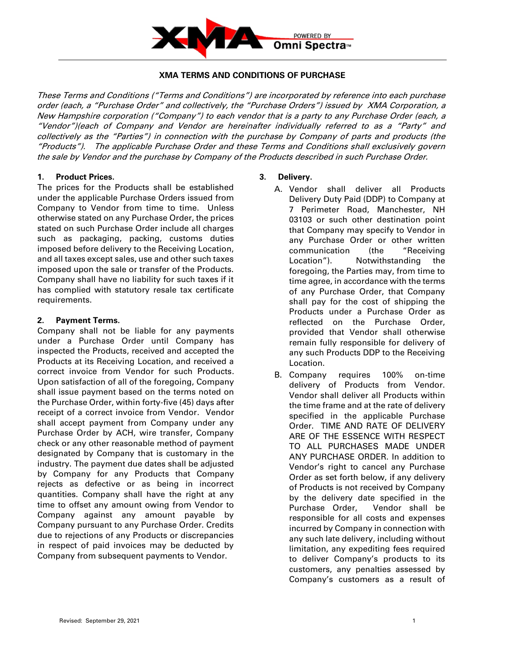

## **XMA TERMS AND CONDITIONS OF PURCHASE**

These Terms and Conditions ("Terms and Conditions") are incorporated by reference into each purchase order (each, a "Purchase Order" and collectively, the "Purchase Orders") issued by XMA Corporation, a New Hampshire corporation ("Company") to each vendor that is a party to any Purchase Order (each, a "Vendor")(each of Company and Vendor are hereinafter individually referred to as a "Party" and collectively as the "Parties") in connection with the purchase by Company of parts and products (the "Products"). The applicable Purchase Order and these Terms and Conditions shall exclusively govern the sale by Vendor and the purchase by Company of the Products described in such Purchase Order.

#### **1. Product Prices.**

The prices for the Products shall be established under the applicable Purchase Orders issued from Company to Vendor from time to time. Unless otherwise stated on any Purchase Order, the prices stated on such Purchase Order include all charges such as packaging, packing, customs duties imposed before delivery to the Receiving Location, and all taxes except sales, use and other such taxes imposed upon the sale or transfer of the Products. Company shall have no liability for such taxes if it has complied with statutory resale tax certificate requirements.

## **2. Payment Terms.**

Company shall not be liable for any payments under a Purchase Order until Company has inspected the Products, received and accepted the Products at its Receiving Location, and received a correct invoice from Vendor for such Products. Upon satisfaction of all of the foregoing, Company shall issue payment based on the terms noted on the Purchase Order, within forty-five (45) days after receipt of a correct invoice from Vendor. Vendor shall accept payment from Company under any Purchase Order by ACH, wire transfer, Company check or any other reasonable method of payment designated by Company that is customary in the industry. The payment due dates shall be adjusted by Company for any Products that Company rejects as defective or as being in incorrect quantities. Company shall have the right at any time to offset any amount owing from Vendor to Company against any amount payable by Company pursuant to any Purchase Order. Credits due to rejections of any Products or discrepancies in respect of paid invoices may be deducted by Company from subsequent payments to Vendor.

# **3. Delivery.**

- A. Vendor shall deliver all Products Delivery Duty Paid (DDP) to Company at 7 Perimeter Road, Manchester, NH 03103 or such other destination point that Company may specify to Vendor in any Purchase Order or other written communication (the "Receiving Location"). Notwithstanding the foregoing, the Parties may, from time to time agree, in accordance with the terms of any Purchase Order, that Company shall pay for the cost of shipping the Products under a Purchase Order as reflected on the Purchase Order, provided that Vendor shall otherwise remain fully responsible for delivery of any such Products DDP to the Receiving Location.
- B. Company requires 100% on-time delivery of Products from Vendor. Vendor shall deliver all Products within the time frame and at the rate of delivery specified in the applicable Purchase Order. TIME AND RATE OF DELIVERY ARE OF THE ESSENCE WITH RESPECT TO ALL PURCHASES MADE UNDER ANY PURCHASE ORDER. In addition to Vendor's right to cancel any Purchase Order as set forth below, if any delivery of Products is not received by Company by the delivery date specified in the Purchase Order, Vendor shall be responsible for all costs and expenses incurred by Company in connection with any such late delivery, including without limitation, any expediting fees required to deliver Company's products to its customers, any penalties assessed by Company's customers as a result of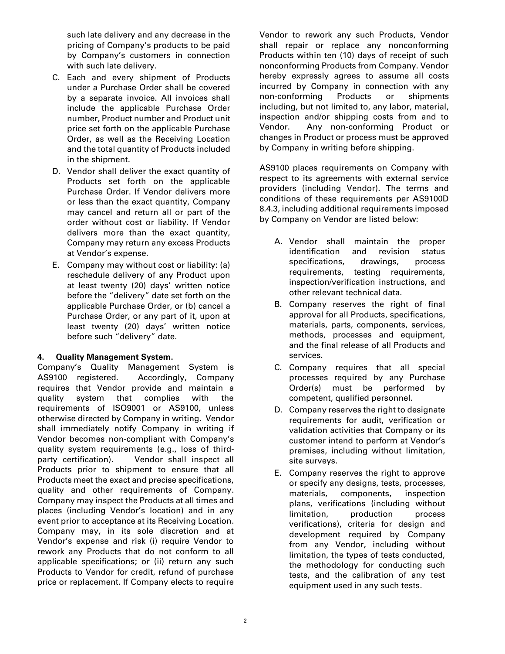such late delivery and any decrease in the pricing of Company's products to be paid by Company's customers in connection with such late delivery.

- C. Each and every shipment of Products under a Purchase Order shall be covered by a separate invoice. All invoices shall include the applicable Purchase Order number, Product number and Product unit price set forth on the applicable Purchase Order, as well as the Receiving Location and the total quantity of Products included in the shipment.
- D. Vendor shall deliver the exact quantity of Products set forth on the applicable Purchase Order. If Vendor delivers more or less than the exact quantity, Company may cancel and return all or part of the order without cost or liability. If Vendor delivers more than the exact quantity, Company may return any excess Products at Vendor's expense.
- E. Company may without cost or liability: (a) reschedule delivery of any Product upon at least twenty (20) days' written notice before the "delivery" date set forth on the applicable Purchase Order, or (b) cancel a Purchase Order, or any part of it, upon at least twenty (20) days' written notice before such "delivery" date.

# **4. Quality Management System.**

Company's Quality Management System is AS9100 registered. Accordingly, Company requires that Vendor provide and maintain a quality system that complies with the requirements of ISO9001 or AS9100, unless otherwise directed by Company in writing. Vendor shall immediately notify Company in writing if Vendor becomes non-compliant with Company's quality system requirements (e.g., loss of thirdparty certification). Vendor shall inspect all Products prior to shipment to ensure that all Products meet the exact and precise specifications, quality and other requirements of Company. Company may inspect the Products at all times and places (including Vendor's location) and in any event prior to acceptance at its Receiving Location. Company may, in its sole discretion and at Vendor's expense and risk (i) require Vendor to rework any Products that do not conform to all applicable specifications; or (ii) return any such Products to Vendor for credit, refund of purchase price or replacement. If Company elects to require

Vendor to rework any such Products, Vendor shall repair or replace any nonconforming Products within ten (10) days of receipt of such nonconforming Products from Company. Vendor hereby expressly agrees to assume all costs incurred by Company in connection with any non-conforming Products or shipments including, but not limited to, any labor, material, inspection and/or shipping costs from and to Vendor. Any non-conforming Product or changes in Product or process must be approved by Company in writing before shipping.

AS9100 places requirements on Company with respect to its agreements with external service providers (including Vendor). The terms and conditions of these requirements per AS9100D 8.4.3, including additional requirements imposed by Company on Vendor are listed below:

- A. Vendor shall maintain the proper identification and revision status specifications, drawings, process requirements, testing requirements, inspection/verification instructions, and other relevant technical data.
- B. Company reserves the right of final approval for all Products, specifications, materials, parts, components, services, methods, processes and equipment, and the final release of all Products and services.
- C. Company requires that all special processes required by any Purchase Order(s) must be performed by competent, qualified personnel.
- D. Company reserves the right to designate requirements for audit, verification or validation activities that Company or its customer intend to perform at Vendor's premises, including without limitation, site surveys.
- E. Company reserves the right to approve or specify any designs, tests, processes, materials, components, inspection plans, verifications (including without limitation, production process verifications), criteria for design and development required by Company from any Vendor, including without limitation, the types of tests conducted, the methodology for conducting such tests, and the calibration of any test equipment used in any such tests.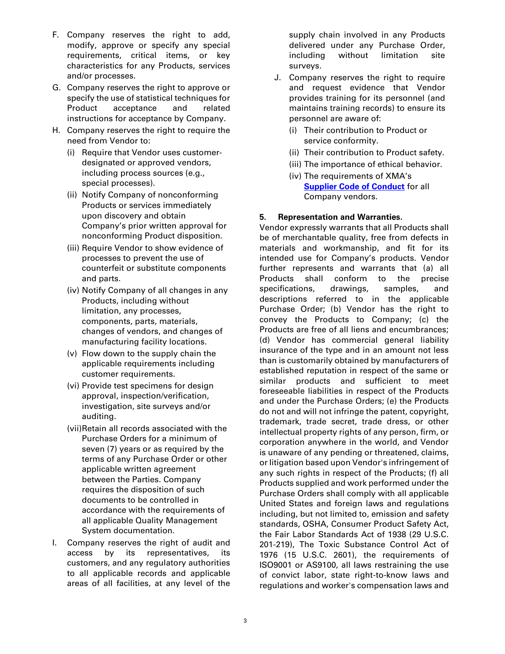- F. Company reserves the right to add, modify, approve or specify any special requirements, critical items, or key characteristics for any Products, services and/or processes.
- G. Company reserves the right to approve or specify the use of statistical techniques for Product acceptance and related instructions for acceptance by Company.
- H. Company reserves the right to require the need from Vendor to:
	- (i) Require that Vendor uses customerdesignated or approved vendors, including process sources (e.g., special processes).
	- (ii) Notify Company of nonconforming Products or services immediately upon discovery and obtain Company's prior written approval for nonconforming Product disposition.
	- (iii) Require Vendor to show evidence of processes to prevent the use of counterfeit or substitute components and parts.
	- (iv) Notify Company of all changes in any Products, including without limitation, any processes, components, parts, materials, changes of vendors, and changes of manufacturing facility locations.
	- (v) Flow down to the supply chain the applicable requirements including customer requirements.
	- (vi) Provide test specimens for design approval, inspection/verification, investigation, site surveys and/or auditing.
	- (vii)Retain all records associated with the Purchase Orders for a minimum of seven (7) years or as required by the terms of any Purchase Order or other applicable written agreement between the Parties. Company requires the disposition of such documents to be controlled in accordance with the requirements of all applicable Quality Management System documentation.
- I. Company reserves the right of audit and access by its representatives, its customers, and any regulatory authorities to all applicable records and applicable areas of all facilities, at any level of the

supply chain involved in any Products delivered under any Purchase Order, including without limitation site surveys.

- J. Company reserves the right to require and request evidence that Vendor provides training for its personnel (and maintains training records) to ensure its personnel are aware of:
	- (i) Their contribution to Product or service conformity.
	- (ii) Their contribution to Product safety.
	- (iii) The importance of ethical behavior.
	- (iv) The requirements of XMA's **Supplier [Code of Conduct](https://img1.wsimg.com/blobby/go/07273236-0ae8-4036-a334-e34e2fa74a63/downloads/XMA%20Corporation%20Supplier%20Code%20of%20Conduct.pdf?ver=1633015469468)** for all Company vendors.

## **5. Representation and Warranties.**

Vendor expressly warrants that all Products shall be of merchantable quality, free from defects in materials and workmanship, and fit for its intended use for Company's products. Vendor further represents and warrants that (a) all Products shall conform to the precise specifications, drawings, samples, and descriptions referred to in the applicable Purchase Order; (b) Vendor has the right to convey the Products to Company; (c) the Products are free of all liens and encumbrances; (d) Vendor has commercial general liability insurance of the type and in an amount not less than is customarily obtained by manufacturers of established reputation in respect of the same or similar products and sufficient to meet foreseeable liabilities in respect of the Products and under the Purchase Orders; (e) the Products do not and will not infringe the patent, copyright, trademark, trade secret, trade dress, or other intellectual property rights of any person, firm, or corporation anywhere in the world, and Vendor is unaware of any pending or threatened, claims, or litigation based upon Vendor's infringement of any such rights in respect of the Products; (f) all Products supplied and work performed under the Purchase Orders shall comply with all applicable United States and foreign laws and regulations including, but not limited to, emission and safety standards, OSHA, Consumer Product Safety Act, the Fair Labor Standards Act of 1938 (29 U.S.C. 201-219), The Toxic Substance Control Act of 1976 (15 U.S.C. 2601), the requirements of ISO9001 or AS9100, all laws restraining the use of convict labor, state right-to-know laws and regulations and worker's compensation laws and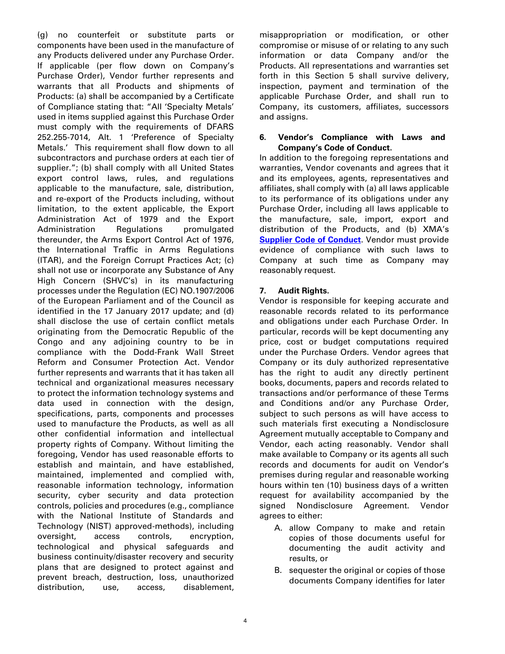(g) no counterfeit or substitute parts or components have been used in the manufacture of any Products delivered under any Purchase Order. If applicable (per flow down on Company's Purchase Order), Vendor further represents and warrants that all Products and shipments of Products: (a) shall be accompanied by a Certificate of Compliance stating that: "All 'Specialty Metals' used in items supplied against this Purchase Order must comply with the requirements of DFARS 252.255-7014, Alt. 1 'Preference of Specialty Metals.' This requirement shall flow down to all subcontractors and purchase orders at each tier of supplier."; (b) shall comply with all United States export control laws, rules, and regulations applicable to the manufacture, sale, distribution, and re-export of the Products including, without limitation, to the extent applicable, the Export Administration Act of 1979 and the Export Administration Regulations promulgated thereunder, the Arms Export Control Act of 1976, the International Traffic in Arms Regulations (ITAR), and the Foreign Corrupt Practices Act; (c) shall not use or incorporate any Substance of Any High Concern (SHVC's) in its manufacturing processes under the Regulation (EC) NO.1907/2006 of the European Parliament and of the Council as identified in the 17 January 2017 update; and (d) shall disclose the use of certain conflict metals originating from the Democratic Republic of the Congo and any adjoining country to be in compliance with the Dodd-Frank Wall Street Reform and Consumer Protection Act. Vendor further represents and warrants that it has taken all technical and organizational measures necessary to protect the information technology systems and data used in connection with the design, specifications, parts, components and processes used to manufacture the Products, as well as all other confidential information and intellectual property rights of Company. Without limiting the foregoing, Vendor has used reasonable efforts to establish and maintain, and have established, maintained, implemented and complied with, reasonable information technology, information security, cyber security and data protection controls, policies and procedures (e.g., compliance with the National Institute of Standards and Technology (NIST) approved-methods), including oversight, access controls, encryption, technological and physical safeguards and business continuity/disaster recovery and security plans that are designed to protect against and prevent breach, destruction, loss, unauthorized distribution, use, access, disablement, misappropriation or modification, or other compromise or misuse of or relating to any such information or data Company and/or the Products. All representations and warranties set forth in this Section 5 shall survive delivery, inspection, payment and termination of the applicable Purchase Order, and shall run to Company, its customers, affiliates, successors and assigns.

#### **6. Vendor's Compliance with Laws and Company's Code of Conduct.**

In addition to the foregoing representations and warranties, Vendor covenants and agrees that it and its employees, agents, representatives and affiliates, shall comply with (a) all laws applicable to its performance of its obligations under any Purchase Order, including all laws applicable to the manufacture, sale, import, export and distribution of the Products, and (b) XMA's **[Supplier Code of Conduct](https://img1.wsimg.com/blobby/go/07273236-0ae8-4036-a334-e34e2fa74a63/downloads/XMA%20Corporation%20Supplier%20Code%20of%20Conduct.pdf?ver=1633015469468)**. Vendor must provide evidence of compliance with such laws to Company at such time as Company may reasonably request.

# **7. Audit Rights.**

Vendor is responsible for keeping accurate and reasonable records related to its performance and obligations under each Purchase Order. In particular, records will be kept documenting any price, cost or budget computations required under the Purchase Orders. Vendor agrees that Company or its duly authorized representative has the right to audit any directly pertinent books, documents, papers and records related to transactions and/or performance of these Terms and Conditions and/or any Purchase Order, subject to such persons as will have access to such materials first executing a Nondisclosure Agreement mutually acceptable to Company and Vendor, each acting reasonably. Vendor shall make available to Company or its agents all such records and documents for audit on Vendor's premises during regular and reasonable working hours within ten (10) business days of a written request for availability accompanied by the signed Nondisclosure Agreement. Vendor agrees to either:

- A. allow Company to make and retain copies of those documents useful for documenting the audit activity and results, or
- B. sequester the original or copies of those documents Company identifies for later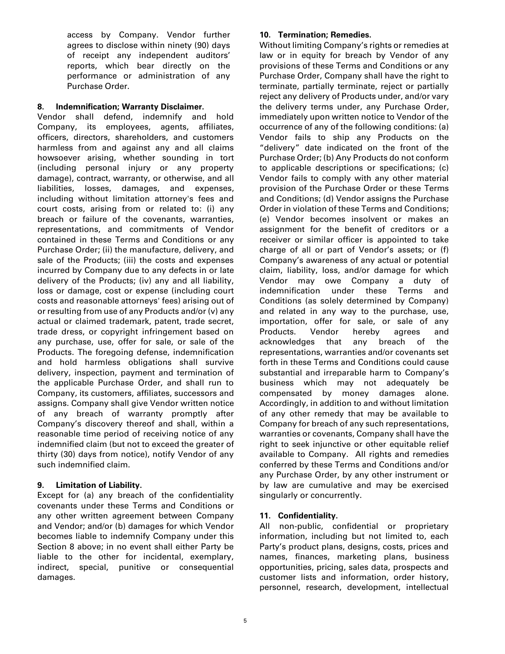access by Company. Vendor further agrees to disclose within ninety (90) days of receipt any independent auditors' reports, which bear directly on the performance or administration of any Purchase Order.

# **8. Indemnification; Warranty Disclaimer.**

Vendor shall defend, indemnify and hold Company, its employees, agents, affiliates, officers, directors, shareholders, and customers harmless from and against any and all claims howsoever arising, whether sounding in tort (including personal injury or any property damage), contract, warranty, or otherwise, and all liabilities, losses, damages, and expenses, including without limitation attorney's fees and court costs, arising from or related to: (i) any breach or failure of the covenants, warranties, representations, and commitments of Vendor contained in these Terms and Conditions or any Purchase Order; (ii) the manufacture, delivery, and sale of the Products; (iii) the costs and expenses incurred by Company due to any defects in or late delivery of the Products; (iv) any and all liability, loss or damage, cost or expense (including court costs and reasonable attorneys' fees) arising out of or resulting from use of any Products and/or (v) any actual or claimed trademark, patent, trade secret, trade dress, or copyright infringement based on any purchase, use, offer for sale, or sale of the Products. The foregoing defense, indemnification and hold harmless obligations shall survive delivery, inspection, payment and termination of the applicable Purchase Order, and shall run to Company, its customers, affiliates, successors and assigns. Company shall give Vendor written notice of any breach of warranty promptly after Company's discovery thereof and shall, within a reasonable time period of receiving notice of any indemnified claim (but not to exceed the greater of thirty (30) days from notice), notify Vendor of any such indemnified claim.

# **9. Limitation of Liability.**

Except for (a) any breach of the confidentiality covenants under these Terms and Conditions or any other written agreement between Company and Vendor; and/or (b) damages for which Vendor becomes liable to indemnify Company under this Section 8 above; in no event shall either Party be liable to the other for incidental, exemplary, indirect, special, punitive or consequential damages.

## **10. Termination; Remedies.**

Without limiting Company's rights or remedies at law or in equity for breach by Vendor of any provisions of these Terms and Conditions or any Purchase Order, Company shall have the right to terminate, partially terminate, reject or partially reject any delivery of Products under, and/or vary the delivery terms under, any Purchase Order, immediately upon written notice to Vendor of the occurrence of any of the following conditions: (a) Vendor fails to ship any Products on the "delivery" date indicated on the front of the Purchase Order; (b) Any Products do not conform to applicable descriptions or specifications; (c) Vendor fails to comply with any other material provision of the Purchase Order or these Terms and Conditions; (d) Vendor assigns the Purchase Order in violation of these Terms and Conditions; (e) Vendor becomes insolvent or makes an assignment for the benefit of creditors or a receiver or similar officer is appointed to take charge of all or part of Vendor's assets; or (f) Company's awareness of any actual or potential claim, liability, loss, and/or damage for which Vendor may owe Company a duty of indemnification under these Terms and Conditions (as solely determined by Company) and related in any way to the purchase, use, importation, offer for sale, or sale of any Products. Vendor hereby agrees and acknowledges that any breach of the representations, warranties and/or covenants set forth in these Terms and Conditions could cause substantial and irreparable harm to Company's business which may not adequately be compensated by money damages alone. Accordingly, in addition to and without limitation of any other remedy that may be available to Company for breach of any such representations, warranties or covenants, Company shall have the right to seek injunctive or other equitable relief available to Company. All rights and remedies conferred by these Terms and Conditions and/or any Purchase Order, by any other instrument or by law are cumulative and may be exercised singularly or concurrently.

## **11. Confidentiality.**

All non-public, confidential or proprietary information, including but not limited to, each Party's product plans, designs, costs, prices and names, finances, marketing plans, business opportunities, pricing, sales data, prospects and customer lists and information, order history, personnel, research, development, intellectual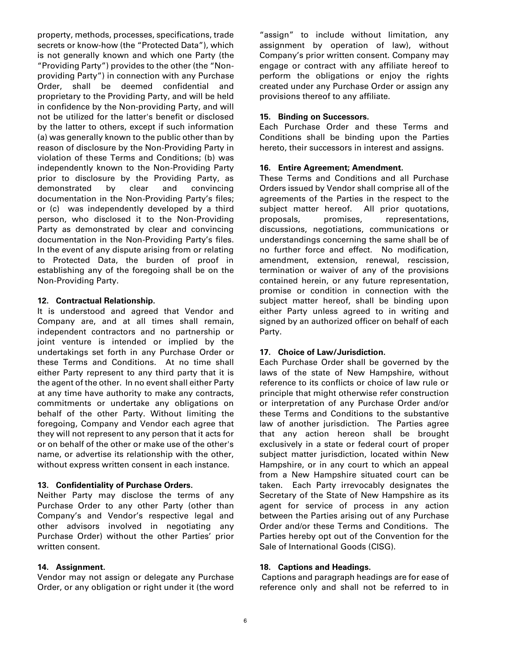property, methods, processes, specifications, trade secrets or know-how (the "Protected Data"), which is not generally known and which one Party (the "Providing Party") provides to the other (the "Nonproviding Party") in connection with any Purchase Order, shall be deemed confidential and proprietary to the Providing Party, and will be held in confidence by the Non-providing Party, and will not be utilized for the latter's benefit or disclosed by the latter to others, except if such information (a) was generally known to the public other than by reason of disclosure by the Non-Providing Party in violation of these Terms and Conditions; (b) was independently known to the Non-Providing Party prior to disclosure by the Providing Party, as demonstrated by clear and convincing documentation in the Non-Providing Party's files; or (c) was independently developed by a third person, who disclosed it to the Non-Providing Party as demonstrated by clear and convincing documentation in the Non-Providing Party's files. In the event of any dispute arising from or relating to Protected Data, the burden of proof in establishing any of the foregoing shall be on the Non-Providing Party.

#### **12. Contractual Relationship.**

It is understood and agreed that Vendor and Company are, and at all times shall remain, independent contractors and no partnership or joint venture is intended or implied by the undertakings set forth in any Purchase Order or these Terms and Conditions. At no time shall either Party represent to any third party that it is the agent of the other. In no event shall either Party at any time have authority to make any contracts, commitments or undertake any obligations on behalf of the other Party. Without limiting the foregoing, Company and Vendor each agree that they will not represent to any person that it acts for or on behalf of the other or make use of the other's name, or advertise its relationship with the other, without express written consent in each instance.

#### **13. Confidentiality of Purchase Orders.**

Neither Party may disclose the terms of any Purchase Order to any other Party (other than Company's and Vendor's respective legal and other advisors involved in negotiating any Purchase Order) without the other Parties' prior written consent.

## **14. Assignment.**

Vendor may not assign or delegate any Purchase Order, or any obligation or right under it (the word "assign" to include without limitation, any assignment by operation of law), without Company's prior written consent. Company may engage or contract with any affiliate hereof to perform the obligations or enjoy the rights created under any Purchase Order or assign any provisions thereof to any affiliate.

### **15. Binding on Successors.**

Each Purchase Order and these Terms and Conditions shall be binding upon the Parties hereto, their successors in interest and assigns.

#### **16. Entire Agreement; Amendment.**

These Terms and Conditions and all Purchase Orders issued by Vendor shall comprise all of the agreements of the Parties in the respect to the subject matter hereof. All prior quotations, proposals, promises, representations, discussions, negotiations, communications or understandings concerning the same shall be of no further force and effect. No modification, amendment, extension, renewal, rescission, termination or waiver of any of the provisions contained herein, or any future representation, promise or condition in connection with the subject matter hereof, shall be binding upon either Party unless agreed to in writing and signed by an authorized officer on behalf of each Party.

## **17. Choice of Law/Jurisdiction.**

Each Purchase Order shall be governed by the laws of the state of New Hampshire, without reference to its conflicts or choice of law rule or principle that might otherwise refer construction or interpretation of any Purchase Order and/or these Terms and Conditions to the substantive law of another jurisdiction. The Parties agree that any action hereon shall be brought exclusively in a state or federal court of proper subject matter jurisdiction, located within New Hampshire, or in any court to which an appeal from a New Hampshire situated court can be taken. Each Party irrevocably designates the Secretary of the State of New Hampshire as its agent for service of process in any action between the Parties arising out of any Purchase Order and/or these Terms and Conditions. The Parties hereby opt out of the Convention for the Sale of International Goods (CISG).

#### **18. Captions and Headings.**

Captions and paragraph headings are for ease of reference only and shall not be referred to in